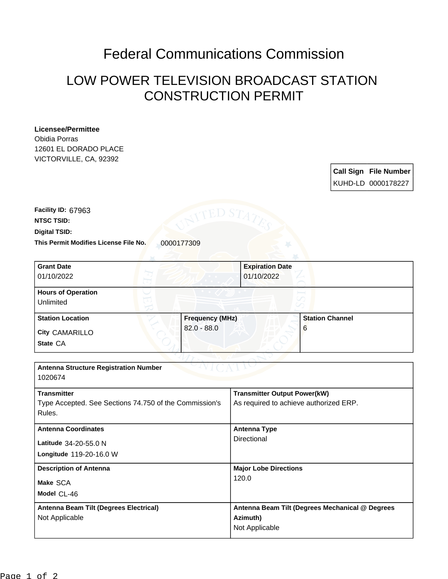## Federal Communications Commission

## LOW POWER TELEVISION BROADCAST STATION CONSTRUCTION PERMIT

## **Licensee/Permittee**

Obidia Porras 12601 EL DORADO PLACE VICTORVILLE, CA, 92392

> **Call Sign File Number** KUHD-LD 0000178227

**This Permit Modifies License File No.** 0000177309 **Digital TSID: NTSC TSID: Facility ID:** 67963

| <b>Grant Date</b>                            | <b>Expiration Date</b> |                        |  |
|----------------------------------------------|------------------------|------------------------|--|
| 01/10/2022                                   | 01/10/2022             |                        |  |
| <b>Hours of Operation</b>                    |                        |                        |  |
| Unlimited                                    |                        |                        |  |
| <b>Station Location</b>                      | <b>Frequency (MHz)</b> | <b>Station Channel</b> |  |
| City CAMARILLO                               | $82.0 - 88.0$          | 6                      |  |
| State CA                                     |                        |                        |  |
|                                              |                        |                        |  |
| <b>Antenna Structure Registration Number</b> |                        |                        |  |
| 1020674                                      |                        |                        |  |

| <b>Transmitter</b>                                     | <b>Transmitter Output Power(kW)</b>             |  |
|--------------------------------------------------------|-------------------------------------------------|--|
| Type Accepted. See Sections 74.750 of the Commission's | As required to achieve authorized ERP.          |  |
| Rules.                                                 |                                                 |  |
| <b>Antenna Coordinates</b>                             | <b>Antenna Type</b>                             |  |
| Latitude 34-20-55.0 N                                  | Directional                                     |  |
| Longitude 119-20-16.0 W                                |                                                 |  |
| <b>Description of Antenna</b>                          | <b>Major Lobe Directions</b><br>120.0           |  |
| Make SCA                                               |                                                 |  |
| Model CL-46                                            |                                                 |  |
| Antenna Beam Tilt (Degrees Electrical)                 | Antenna Beam Tilt (Degrees Mechanical @ Degrees |  |
| Not Applicable                                         | Azimuth)                                        |  |
|                                                        | Not Applicable                                  |  |